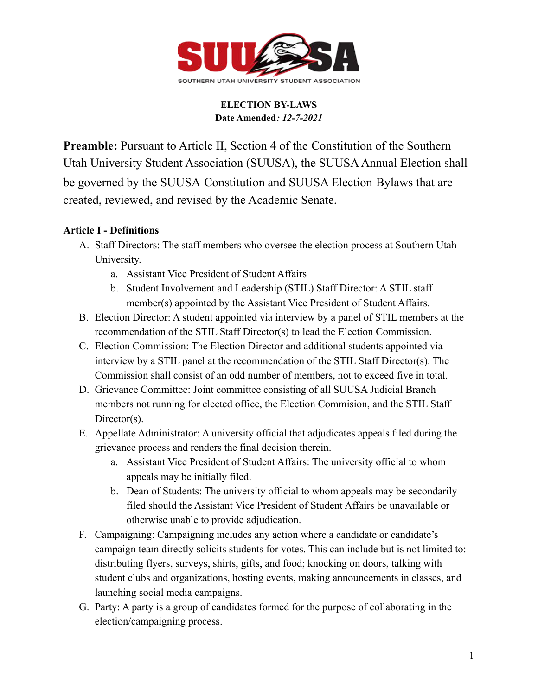

**Preamble:** Pursuant to Article II, Section 4 of the Constitution of the Southern Utah University Student Association (SUUSA), the SUUSAAnnual Election shall be governed by the SUUSA Constitution and SUUSA Election Bylaws that are created, reviewed, and revised by the Academic Senate.

### **Article I - Definitions**

- A. Staff Directors: The staff members who oversee the election process at Southern Utah University.
	- a. Assistant Vice President of Student Affairs
	- b. Student Involvement and Leadership (STIL) Staff Director: A STIL staff member(s) appointed by the Assistant Vice President of Student Affairs.
- B. Election Director: A student appointed via interview by a panel of STIL members at the recommendation of the STIL Staff Director(s) to lead the Election Commission.
- C. Election Commission: The Election Director and additional students appointed via interview by a STIL panel at the recommendation of the STIL Staff Director(s). The Commission shall consist of an odd number of members, not to exceed five in total.
- D. Grievance Committee: Joint committee consisting of all SUUSA Judicial Branch members not running for elected office, the Election Commision, and the STIL Staff Director(s).
- E. Appellate Administrator: A university official that adjudicates appeals filed during the grievance process and renders the final decision therein.
	- a. Assistant Vice President of Student Affairs: The university official to whom appeals may be initially filed.
	- b. Dean of Students: The university official to whom appeals may be secondarily filed should the Assistant Vice President of Student Affairs be unavailable or otherwise unable to provide adjudication.
- F. Campaigning: Campaigning includes any action where a candidate or candidate's campaign team directly solicits students for votes. This can include but is not limited to: distributing flyers, surveys, shirts, gifts, and food; knocking on doors, talking with student clubs and organizations, hosting events, making announcements in classes, and launching social media campaigns.
- G. Party: A party is a group of candidates formed for the purpose of collaborating in the election/campaigning process.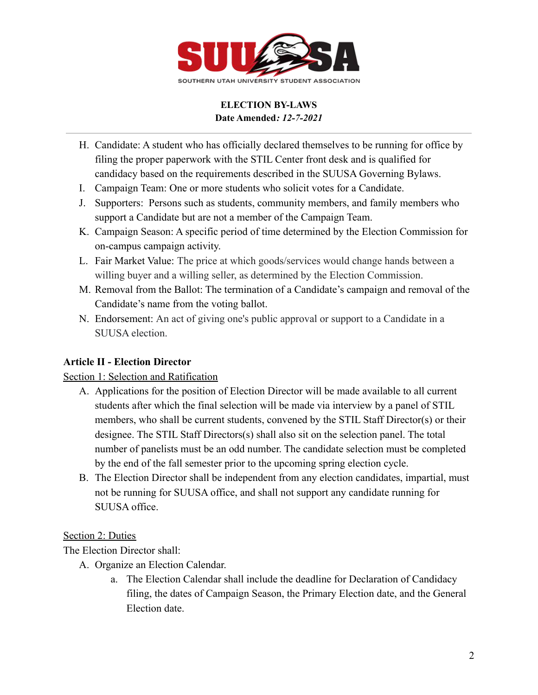

- H. Candidate: A student who has officially declared themselves to be running for office by filing the proper paperwork with the STIL Center front desk and is qualified for candidacy based on the requirements described in the SUUSA Governing Bylaws.
- I. Campaign Team: One or more students who solicit votes for a Candidate.
- J. Supporters: Persons such as students, community members, and family members who support a Candidate but are not a member of the Campaign Team.
- K. Campaign Season: A specific period of time determined by the Election Commission for on-campus campaign activity.
- L. Fair Market Value: The price at which goods/services would change hands between a willing buyer and a willing seller, as determined by the Election Commission.
- M. Removal from the Ballot: The termination of a Candidate's campaign and removal of the Candidate's name from the voting ballot.
- N. Endorsement: An act of giving one's public approval or support to a Candidate in a SUUSA election.

## **Article II - Election Director**

## Section 1: Selection and Ratification

- A. Applications for the position of Election Director will be made available to all current students after which the final selection will be made via interview by a panel of STIL members, who shall be current students, convened by the STIL Staff Director(s) or their designee. The STIL Staff Directors(s) shall also sit on the selection panel. The total number of panelists must be an odd number. The candidate selection must be completed by the end of the fall semester prior to the upcoming spring election cycle.
- B. The Election Director shall be independent from any election candidates, impartial, must not be running for SUUSA office, and shall not support any candidate running for SUUSA office.

### Section 2: Duties

The Election Director shall:

- A. Organize an Election Calendar.
	- a. The Election Calendar shall include the deadline for Declaration of Candidacy filing, the dates of Campaign Season, the Primary Election date, and the General Election date.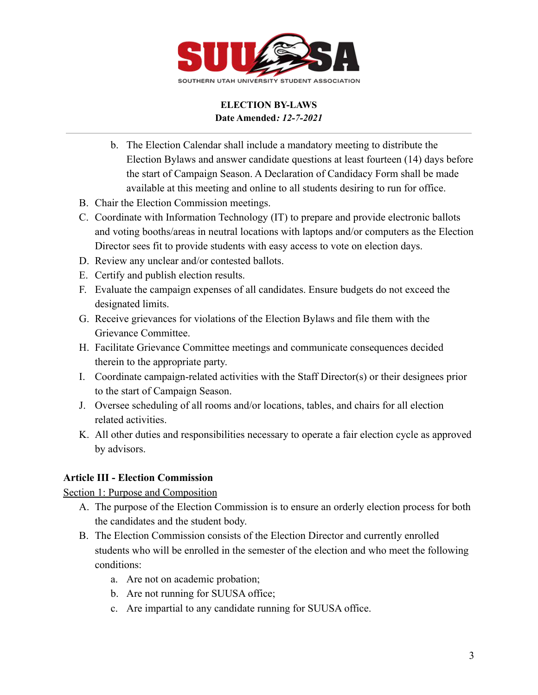

- b. The Election Calendar shall include a mandatory meeting to distribute the Election Bylaws and answer candidate questions at least fourteen (14) days before the start of Campaign Season. A Declaration of Candidacy Form shall be made available at this meeting and online to all students desiring to run for office.
- B. Chair the Election Commission meetings.
- C. Coordinate with Information Technology (IT) to prepare and provide electronic ballots and voting booths/areas in neutral locations with laptops and/or computers as the Election Director sees fit to provide students with easy access to vote on election days.
- D. Review any unclear and/or contested ballots.
- E. Certify and publish election results.
- F. Evaluate the campaign expenses of all candidates. Ensure budgets do not exceed the designated limits.
- G. Receive grievances for violations of the Election Bylaws and file them with the Grievance Committee.
- H. Facilitate Grievance Committee meetings and communicate consequences decided therein to the appropriate party.
- I. Coordinate campaign-related activities with the Staff Director(s) or their designees prior to the start of Campaign Season.
- J. Oversee scheduling of all rooms and/or locations, tables, and chairs for all election related activities.
- K. All other duties and responsibilities necessary to operate a fair election cycle as approved by advisors.

## **Article III - Election Commission**

Section 1: Purpose and Composition

- A. The purpose of the Election Commission is to ensure an orderly election process for both the candidates and the student body.
- B. The Election Commission consists of the Election Director and currently enrolled students who will be enrolled in the semester of the election and who meet the following conditions:
	- a. Are not on academic probation;
	- b. Are not running for SUUSA office;
	- c. Are impartial to any candidate running for SUUSA office.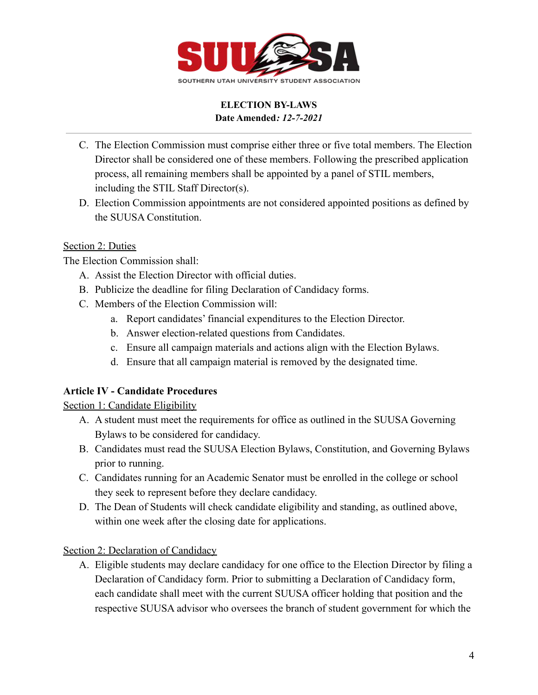

- C. The Election Commission must comprise either three or five total members. The Election Director shall be considered one of these members. Following the prescribed application process, all remaining members shall be appointed by a panel of STIL members, including the STIL Staff Director(s).
- D. Election Commission appointments are not considered appointed positions as defined by the SUUSA Constitution.

## Section 2: Duties

The Election Commission shall:

- A. Assist the Election Director with official duties.
- B. Publicize the deadline for filing Declaration of Candidacy forms.
- C. Members of the Election Commission will:
	- a. Report candidates' financial expenditures to the Election Director.
	- b. Answer election-related questions from Candidates.
	- c. Ensure all campaign materials and actions align with the Election Bylaws.
	- d. Ensure that all campaign material is removed by the designated time.

## **Article IV - Candidate Procedures**

Section 1: Candidate Eligibility

- A. A student must meet the requirements for office as outlined in the SUUSA Governing Bylaws to be considered for candidacy.
- B. Candidates must read the SUUSA Election Bylaws, Constitution, and Governing Bylaws prior to running.
- C. Candidates running for an Academic Senator must be enrolled in the college or school they seek to represent before they declare candidacy.
- D. The Dean of Students will check candidate eligibility and standing, as outlined above, within one week after the closing date for applications.

Section 2: Declaration of Candidacy

A. Eligible students may declare candidacy for one office to the Election Director by filing a Declaration of Candidacy form. Prior to submitting a Declaration of Candidacy form, each candidate shall meet with the current SUUSA officer holding that position and the respective SUUSA advisor who oversees the branch of student government for which the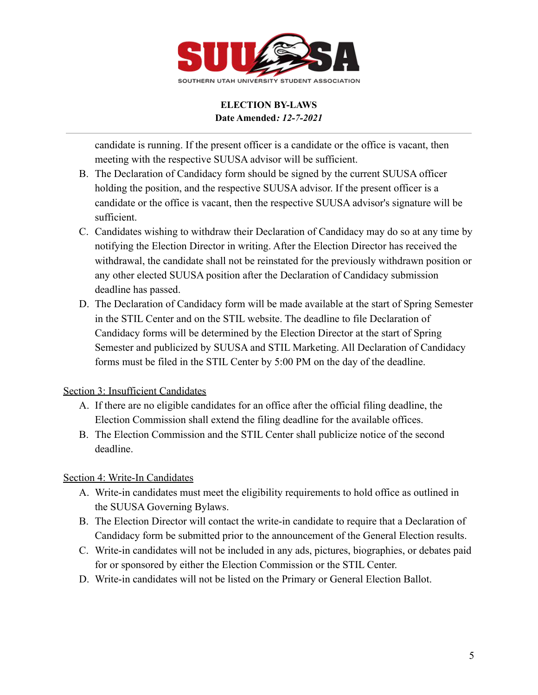

candidate is running. If the present officer is a candidate or the office is vacant, then meeting with the respective SUUSA advisor will be sufficient.

- B. The Declaration of Candidacy form should be signed by the current SUUSA officer holding the position, and the respective SUUSA advisor. If the present officer is a candidate or the office is vacant, then the respective SUUSA advisor's signature will be sufficient.
- C. Candidates wishing to withdraw their Declaration of Candidacy may do so at any time by notifying the Election Director in writing. After the Election Director has received the withdrawal, the candidate shall not be reinstated for the previously withdrawn position or any other elected SUUSA position after the Declaration of Candidacy submission deadline has passed.
- D. The Declaration of Candidacy form will be made available at the start of Spring Semester in the STIL Center and on the STIL website. The deadline to file Declaration of Candidacy forms will be determined by the Election Director at the start of Spring Semester and publicized by SUUSA and STIL Marketing. All Declaration of Candidacy forms must be filed in the STIL Center by 5:00 PM on the day of the deadline.

## Section 3: Insufficient Candidates

- A. If there are no eligible candidates for an office after the official filing deadline, the Election Commission shall extend the filing deadline for the available offices.
- B. The Election Commission and the STIL Center shall publicize notice of the second deadline.

## Section 4: Write-In Candidates

- A. Write-in candidates must meet the eligibility requirements to hold office as outlined in the SUUSA Governing Bylaws.
- B. The Election Director will contact the write-in candidate to require that a Declaration of Candidacy form be submitted prior to the announcement of the General Election results.
- C. Write-in candidates will not be included in any ads, pictures, biographies, or debates paid for or sponsored by either the Election Commission or the STIL Center.
- D. Write-in candidates will not be listed on the Primary or General Election Ballot.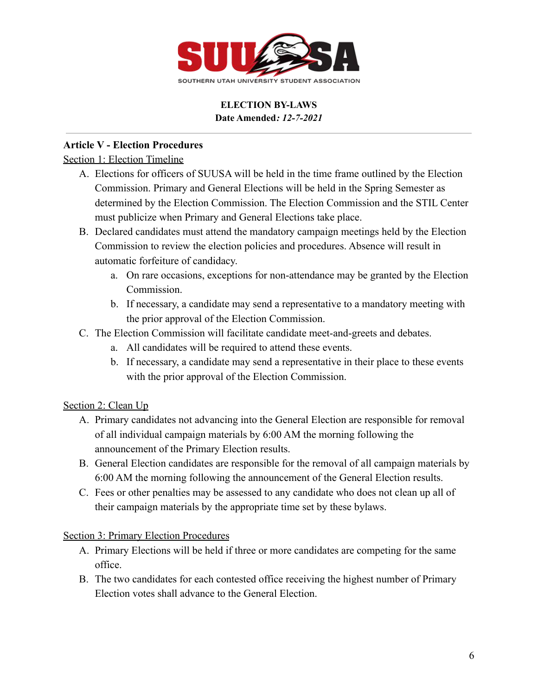

## **Article V - Election Procedures**

### Section 1: Election Timeline

- A. Elections for officers of SUUSA will be held in the time frame outlined by the Election Commission. Primary and General Elections will be held in the Spring Semester as determined by the Election Commission. The Election Commission and the STIL Center must publicize when Primary and General Elections take place.
- B. Declared candidates must attend the mandatory campaign meetings held by the Election Commission to review the election policies and procedures. Absence will result in automatic forfeiture of candidacy.
	- a. On rare occasions, exceptions for non-attendance may be granted by the Election Commission.
	- b. If necessary, a candidate may send a representative to a mandatory meeting with the prior approval of the Election Commission.
- C. The Election Commission will facilitate candidate meet-and-greets and debates.
	- a. All candidates will be required to attend these events.
	- b. If necessary, a candidate may send a representative in their place to these events with the prior approval of the Election Commission.

## Section 2: Clean Up

- A. Primary candidates not advancing into the General Election are responsible for removal of all individual campaign materials by 6:00 AM the morning following the announcement of the Primary Election results.
- B. General Election candidates are responsible for the removal of all campaign materials by 6:00 AM the morning following the announcement of the General Election results.
- C. Fees or other penalties may be assessed to any candidate who does not clean up all of their campaign materials by the appropriate time set by these bylaws.

### Section 3: Primary Election Procedures

- A. Primary Elections will be held if three or more candidates are competing for the same office.
- B. The two candidates for each contested office receiving the highest number of Primary Election votes shall advance to the General Election.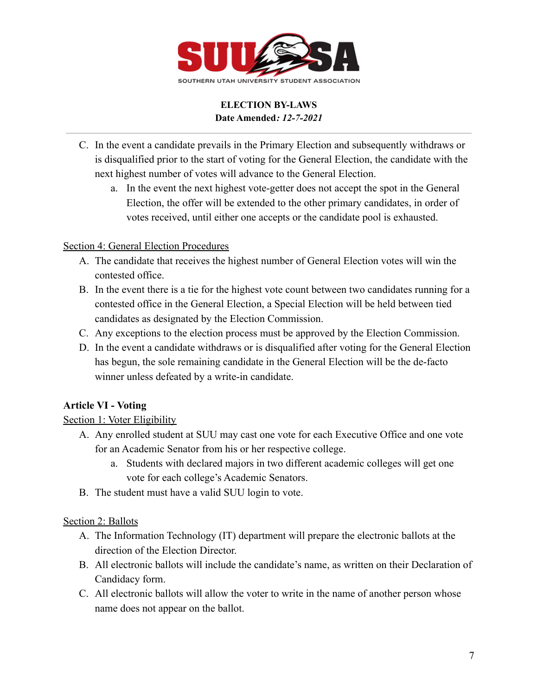

- C. In the event a candidate prevails in the Primary Election and subsequently withdraws or is disqualified prior to the start of voting for the General Election, the candidate with the next highest number of votes will advance to the General Election.
	- a. In the event the next highest vote-getter does not accept the spot in the General Election, the offer will be extended to the other primary candidates, in order of votes received, until either one accepts or the candidate pool is exhausted.

### Section 4: General Election Procedures

- A. The candidate that receives the highest number of General Election votes will win the contested office.
- B. In the event there is a tie for the highest vote count between two candidates running for a contested office in the General Election, a Special Election will be held between tied candidates as designated by the Election Commission.
- C. Any exceptions to the election process must be approved by the Election Commission.
- D. In the event a candidate withdraws or is disqualified after voting for the General Election has begun, the sole remaining candidate in the General Election will be the de-facto winner unless defeated by a write-in candidate.

## **Article VI - Voting**

## Section 1: Voter Eligibility

- A. Any enrolled student at SUU may cast one vote for each Executive Office and one vote for an Academic Senator from his or her respective college.
	- a. Students with declared majors in two different academic colleges will get one vote for each college's Academic Senators.
- B. The student must have a valid SUU login to vote.

### Section 2: Ballots

- A. The Information Technology (IT) department will prepare the electronic ballots at the direction of the Election Director.
- B. All electronic ballots will include the candidate's name, as written on their Declaration of Candidacy form.
- C. All electronic ballots will allow the voter to write in the name of another person whose name does not appear on the ballot.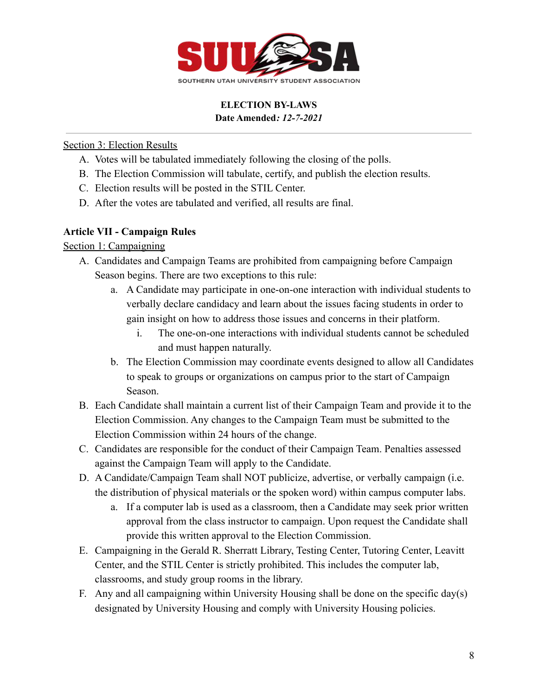

### Section 3: Election Results

- A. Votes will be tabulated immediately following the closing of the polls.
- B. The Election Commission will tabulate, certify, and publish the election results.
- C. Election results will be posted in the STIL Center.
- D. After the votes are tabulated and verified, all results are final.

### **Article VII - Campaign Rules**

### Section 1: Campaigning

- A. Candidates and Campaign Teams are prohibited from campaigning before Campaign Season begins. There are two exceptions to this rule:
	- a. A Candidate may participate in one-on-one interaction with individual students to verbally declare candidacy and learn about the issues facing students in order to gain insight on how to address those issues and concerns in their platform.
		- i. The one-on-one interactions with individual students cannot be scheduled and must happen naturally.
	- b. The Election Commission may coordinate events designed to allow all Candidates to speak to groups or organizations on campus prior to the start of Campaign Season.
- B. Each Candidate shall maintain a current list of their Campaign Team and provide it to the Election Commission. Any changes to the Campaign Team must be submitted to the Election Commission within 24 hours of the change.
- C. Candidates are responsible for the conduct of their Campaign Team. Penalties assessed against the Campaign Team will apply to the Candidate.
- D. A Candidate/Campaign Team shall NOT publicize, advertise, or verbally campaign (i.e. the distribution of physical materials or the spoken word) within campus computer labs.
	- a. If a computer lab is used as a classroom, then a Candidate may seek prior written approval from the class instructor to campaign. Upon request the Candidate shall provide this written approval to the Election Commission.
- E. Campaigning in the Gerald R. Sherratt Library, Testing Center, Tutoring Center, Leavitt Center, and the STIL Center is strictly prohibited. This includes the computer lab, classrooms, and study group rooms in the library.
- F. Any and all campaigning within University Housing shall be done on the specific day(s) designated by University Housing and comply with University Housing policies.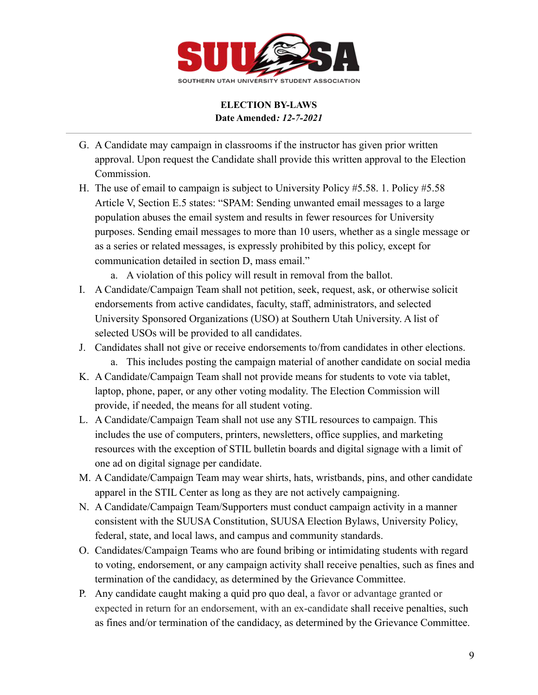

- G. A Candidate may campaign in classrooms if the instructor has given prior written approval. Upon request the Candidate shall provide this written approval to the Election Commission.
- H. The use of email to campaign is subject to University Policy #5.58. 1. Policy #5.58 Article V, Section E.5 states: "SPAM: Sending unwanted email messages to a large population abuses the email system and results in fewer resources for University purposes. Sending email messages to more than 10 users, whether as a single message or as a series or related messages, is expressly prohibited by this policy, except for communication detailed in section D, mass email."
	- a. A violation of this policy will result in removal from the ballot.
- I. A Candidate/Campaign Team shall not petition, seek, request, ask, or otherwise solicit endorsements from active candidates, faculty, staff, administrators, and selected University Sponsored Organizations (USO) at Southern Utah University. A list of selected USOs will be provided to all candidates.
- J. Candidates shall not give or receive endorsements to/from candidates in other elections.
	- a. This includes posting the campaign material of another candidate on social media
- K. A Candidate/Campaign Team shall not provide means for students to vote via tablet, laptop, phone, paper, or any other voting modality. The Election Commission will provide, if needed, the means for all student voting.
- L. A Candidate/Campaign Team shall not use any STIL resources to campaign. This includes the use of computers, printers, newsletters, office supplies, and marketing resources with the exception of STIL bulletin boards and digital signage with a limit of one ad on digital signage per candidate.
- M. A Candidate/Campaign Team may wear shirts, hats, wristbands, pins, and other candidate apparel in the STIL Center as long as they are not actively campaigning.
- N. A Candidate/Campaign Team/Supporters must conduct campaign activity in a manner consistent with the SUUSA Constitution, SUUSA Election Bylaws, University Policy, federal, state, and local laws, and campus and community standards.
- O. Candidates/Campaign Teams who are found bribing or intimidating students with regard to voting, endorsement, or any campaign activity shall receive penalties, such as fines and termination of the candidacy, as determined by the Grievance Committee.
- P. Any candidate caught making a quid pro quo deal, a favor or advantage granted or expected in return for an endorsement, with an ex-candidate shall receive penalties, such as fines and/or termination of the candidacy, as determined by the Grievance Committee.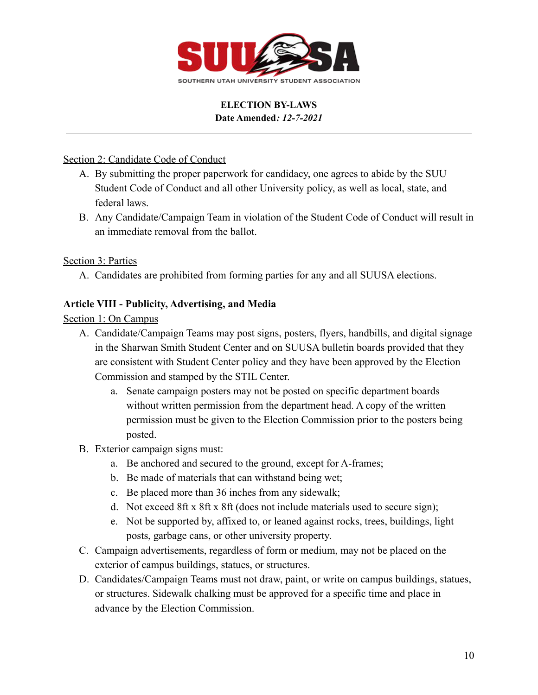

### Section 2: Candidate Code of Conduct

- A. By submitting the proper paperwork for candidacy, one agrees to abide by the SUU Student Code of Conduct and all other University policy, as well as local, state, and federal laws.
- B. Any Candidate/Campaign Team in violation of the Student Code of Conduct will result in an immediate removal from the ballot.

### Section 3: Parties

A. Candidates are prohibited from forming parties for any and all SUUSA elections.

### **Article VIII - Publicity, Advertising, and Media**

Section 1: On Campus

- A. Candidate/Campaign Teams may post signs, posters, flyers, handbills, and digital signage in the Sharwan Smith Student Center and on SUUSA bulletin boards provided that they are consistent with Student Center policy and they have been approved by the Election Commission and stamped by the STIL Center.
	- a. Senate campaign posters may not be posted on specific department boards without written permission from the department head. A copy of the written permission must be given to the Election Commission prior to the posters being posted.
- B. Exterior campaign signs must:
	- a. Be anchored and secured to the ground, except for A-frames;
	- b. Be made of materials that can withstand being wet;
	- c. Be placed more than 36 inches from any sidewalk;
	- d. Not exceed 8ft x 8ft x 8ft (does not include materials used to secure sign);
	- e. Not be supported by, affixed to, or leaned against rocks, trees, buildings, light posts, garbage cans, or other university property.
- C. Campaign advertisements, regardless of form or medium, may not be placed on the exterior of campus buildings, statues, or structures.
- D. Candidates/Campaign Teams must not draw, paint, or write on campus buildings, statues, or structures. Sidewalk chalking must be approved for a specific time and place in advance by the Election Commission.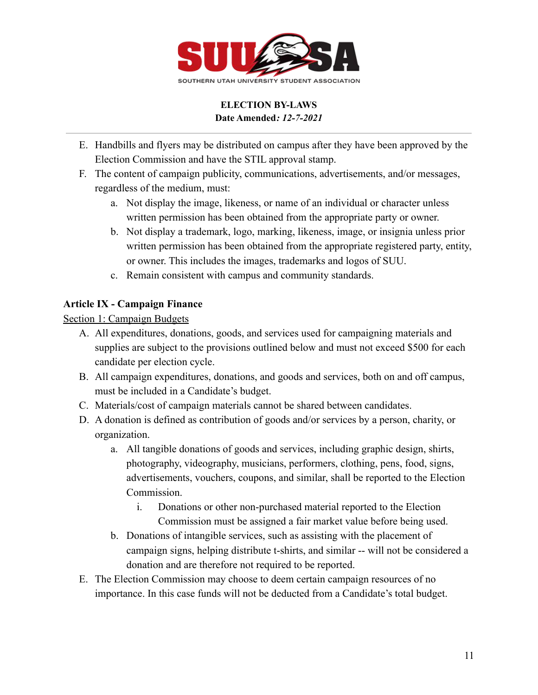

- E. Handbills and flyers may be distributed on campus after they have been approved by the Election Commission and have the STIL approval stamp.
- F. The content of campaign publicity, communications, advertisements, and/or messages, regardless of the medium, must:
	- a. Not display the image, likeness, or name of an individual or character unless written permission has been obtained from the appropriate party or owner.
	- b. Not display a trademark, logo, marking, likeness, image, or insignia unless prior written permission has been obtained from the appropriate registered party, entity, or owner. This includes the images, trademarks and logos of SUU.
	- c. Remain consistent with campus and community standards.

# **Article IX - Campaign Finance**

Section 1: Campaign Budgets

- A. All expenditures, donations, goods, and services used for campaigning materials and supplies are subject to the provisions outlined below and must not exceed \$500 for each candidate per election cycle.
- B. All campaign expenditures, donations, and goods and services, both on and off campus, must be included in a Candidate's budget.
- C. Materials/cost of campaign materials cannot be shared between candidates.
- D. A donation is defined as contribution of goods and/or services by a person, charity, or organization.
	- a. All tangible donations of goods and services, including graphic design, shirts, photography, videography, musicians, performers, clothing, pens, food, signs, advertisements, vouchers, coupons, and similar, shall be reported to the Election Commission.
		- i. Donations or other non-purchased material reported to the Election Commission must be assigned a fair market value before being used.
	- b. Donations of intangible services, such as assisting with the placement of campaign signs, helping distribute t-shirts, and similar -- will not be considered a donation and are therefore not required to be reported.
- E. The Election Commission may choose to deem certain campaign resources of no importance. In this case funds will not be deducted from a Candidate's total budget.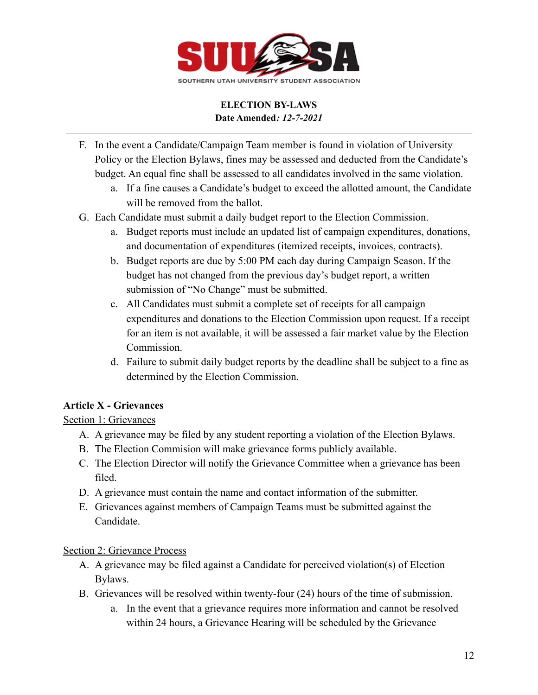

- F. In the event a Candidate/Campaign Team member is found in violation of University Policy or the Election Bylaws, fines may be assessed and deducted from the Candidate's budget. An equal fine shall be assessed to all candidates involved in the same violation.
	- a. If a fine causes a Candidate's budget to exceed the allotted amount, the Candidate will be removed from the ballot.
- G. Each Candidate must submit a daily budget report to the Election Commission.
	- a. Budget reports must include an updated list of campaign expenditures, donations, and documentation of expenditures (itemized receipts, invoices, contracts).
	- b. Budget reports are due by 5:00 PM each day during Campaign Season. If the budget has not changed from the previous day's budget report, a written submission of "No Change" must be submitted.
	- c. All Candidates must submit a complete set of receipts for all campaign expenditures and donations to the Election Commission upon request. If a receipt for an item is not available, it will be assessed a fair market value by the Election Commission.
	- d. Failure to submit daily budget reports by the deadline shall be subject to a fine as determined by the Election Commission.

## **Article X - Grievances**

Section 1: Grievances

- A. A grievance may be filed by any student reporting a violation of the Election Bylaws.
- B. The Election Commision will make grievance forms publicly available.
- C. The Election Director will notify the Grievance Committee when a grievance has been filed.
- D. A grievance must contain the name and contact information of the submitter.
- E. Grievances against members of Campaign Teams must be submitted against the Candidate.

## Section 2: Grievance Process

- A. A grievance may be filed against a Candidate for perceived violation(s) of Election Bylaws.
- B. Grievances will be resolved within twenty-four (24) hours of the time of submission.
	- a. In the event that a grievance requires more information and cannot be resolved within 24 hours, a Grievance Hearing will be scheduled by the Grievance